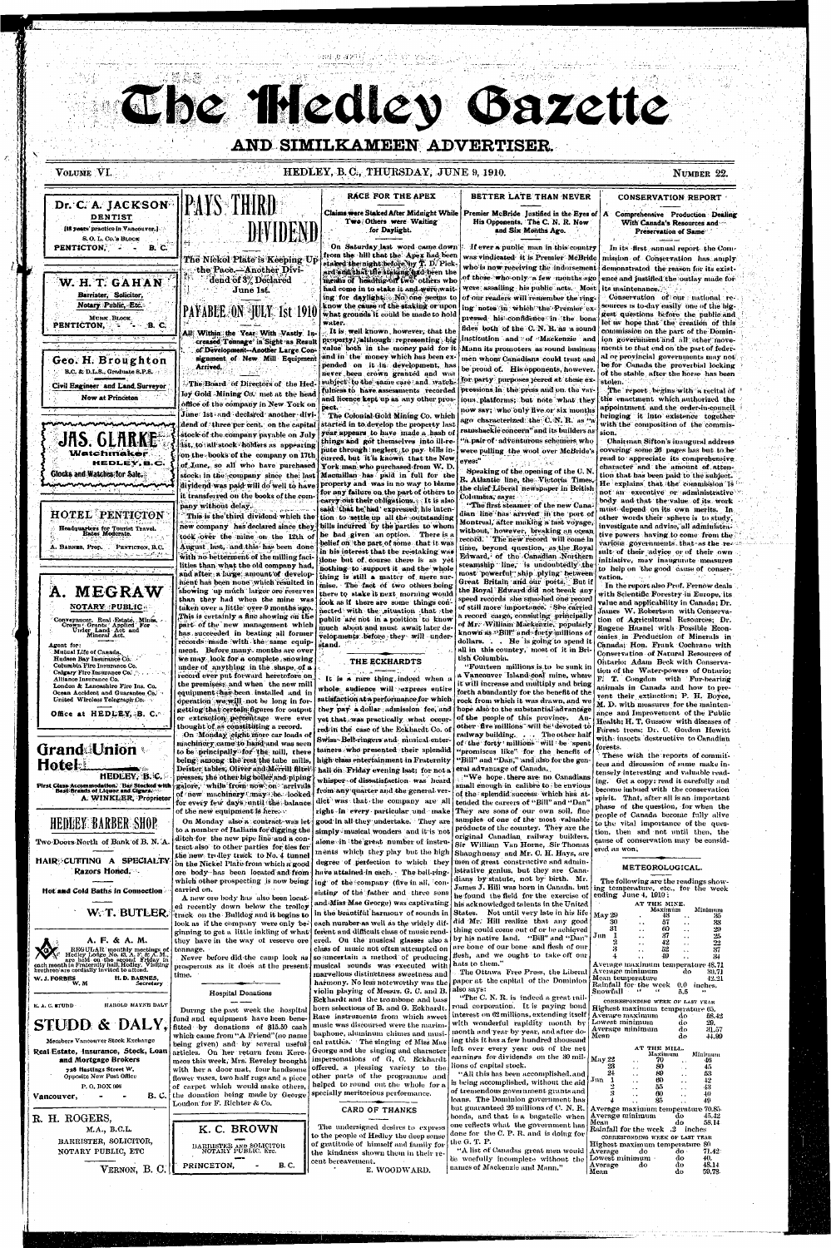# The Hedley Gazette

# AND SIMILKAMEEN ADVERTISER.

## VOLUME VI.

PENTICTON,

PENTICTON.

**DENTIST** 

[16 years' practice in Vancouver.]

S.O. L. Co.'s BLOCK

Barrister, Solicitor,

Notary Public, Etc.

MURK BLOCK

**B. C.** 

## HEDLEY, B.C., THURSDAY, JUNE 9, 1910.

NUMBER 22.

#### **CONSERVATION REPORT**

Comprehensive Production Dealing With Canada's Resources and " Preservation of Same

In its first annual report the Commission of Conservation has amply demonstrated the reason for its existence and instified the outlay made for its maintenance.

Conservation of our national resources is to-day easily one of the higgest questions before the public and let us hope that the creation of this commission on the part of the Dominments to that end on the part of federal or provincial governments may not be for Canada the proverbial locking of the stable after the horse has been stolen.

The report begins with a recital of the enactment which authorized the uppointment and the order-in-council bringing it into existence together with the composition of the commis-

Chairman Sifton's inaugural address covering some 26 pages has but to be read to appreciate its comprehensive. character and the amount of attention that has been paid to the subject. He explains that the commission is not an executive or administrative body and that the value of its work must depend on its own merits. In other words their sphere is to study, investigate and advise, all administrative powers having to come from the various governments that as the result of their advice or of their own. initiative, may inaugurate measures to help on the good cause of conservation.

In the report also Prof. Fernow deals with Scientific Forestry in Europe, its value and applicability in Canada; Dr. James W. Robertson with Conservation of Agricultural Resources; Dr. Engene Haanel with Possible Econnies in Production of Minerals in Canada; Hon. Frank Cochrane with Conservation of Natural Resources of Ontario: Adam Beck with Conservation of the Water-powers of Ontario; F. T. Congdon with Fur-bearing animals in Canada and how to prevent their extinction; P. H. Boyce, M. D. with measures for the maintenance and Improvement of the Public Health; H. T. Gussow with diseases of Forest trees: Dr. C. Gordon Hewitt with insects destructive to Canadian forests. These with the reports of committees and discussion of same make intensely interesting and valuable reading. Get a copy: read it carefully and become imbued with the conservation spirit. That, after all is an important phase of the question, for when the people of Canada become fully alive to the vital importance of the question, then and not until then, the cause of conservation may be considered as won,



public are not in a position to know much about and must await later de-

# B.C. & D.L.S., Graduate S.P.S. Civil Engineer and Land Surveyor **Now at Princeton**

JAS. GLARKE Watchmaker HEDLEY, B.C. Glocks and Watches for Sale.

# **HOTEL PENTICTON** Headquarters for Tourist Travel.<br>Rates Moderate.

A. BARNES, Prop. PENTICTON, B.C.



# RACE FOR THE APEX Dr. C. A. JACKSON |PAYS THIRD

DEVIDEN

计维护表 建苯环烷

#### Claims were Staked After Midnight While Two Others were Waiting for Daylight.

On Saturday last word came down from the hill that the Apex had been

.<br>color:mente: hefore there will under

#### BETTER LATE THAN NEVER Premier McBride Justified in the Eyes of A His Opponents. The C. N. R. Now

If ever a public man in this country was vindicated it is Premier McBride who is now receiving the indorsement of those who only a few months ago were assailing his public acts. Most of our readers will remember the ring- $\mathbf{ing} \mid \mathbf{notes} \mid \mathbf{in} \mid \mathbf{which} \mid \mathbf{the} \mid \mathbf{Premier} \mid \mathbf{ex} \mid \mathbf{h}$ pressed his confidence in the bona fides both of the C.N.R. as a sound institution and of Mackenzie and ion government and all other move-Mann its promoters as sound business men whom Canadians could trust and be proud of. His opponents, however. for party purposes jeered at these expressions in the press and on the various platforms; but note what they now say; who only five or six months ago characterized the  $\mathbf{C}.\mathbf{N}.\mathbf{R}.\,$  as " ramshackle concern" and its builders as sion. "a pair of adventurous schemers who

and Six Months Ago.

were pulling the wool over McBride's Speaking of the opening of the C.N.

R. Atlantic line, the Victoria Times, the chief Liberal newspaper in British

"The first steamer of the new Canadian line has arrived in the port of Montreal, after making a tast voyage, without, however, breaking an ocean record. The new record will come in time, beyond question, as the Royal Edward, of the Canadian Northern steamship line, is undoubtedly the most powerful ship plying between Great Britain and our ports. But if the Royal Edward did not break any speed records she smashed one record of still more importance. She carried a record cargo, consisting principally of Mr. William Mackenzie, popularly known as "Bill" and forty millions of

Agent for: Mutual Life of Canada Hudson Bay Insurance Co. Columbia Fire Insurance Co. Calgary Fire Insurance Co. Alliance Insurance Co. London & Lancashire Fire Ins. Co. Ocean Accident and Guarantee Co. United Wireless Telegraph Co.

Office at HEDLEY, B. C.



First Class-Accommodation. Bar Stocked with<br>Best Brands of Liquor and Cigara A. WINKLER, Proprietor

# **HEDLEY BARBER SHOP**

Two Doors North of Bank of B. N. A HAIR CUTTING A SPECIALTY

Razors Honed.

Hot and Cold Baths in Connection W. T. BUTLER.



**STUDD & DALY** Members Vancouver Stock Exchange

Real Estate, Insurance, Stock, Loan and Mortgage Brokers 728 Hastings Street W. Opposite New Post Office P.O. BOX 906

Vancouver,

R. H. ROGERS, M.A., B.C.L. BARRISTER, SOLICITOR,

NOTARY PUBLIC, ETC VERNON, B. C.

**B.C.** 

has succeeded in beating all former records made with the same equip- stand. ment. Before many months are over we may look for a complete snowing under of anything in the shape, of a record ever put forward heretofore on the premises; and when the new mill equipment thus been installed and in operation we will not be long in forgetting that certain figures for output or extraction percentage were ever thought of as constituting a record.

part of the new management which

On Monday eight more car loads of machinery came to hand and was seen to be principally for the mill, there being among the rest the tube mills, Deister tables, Oliver and Merrill filtel presses, the other big boiler and piping galore, while from now on arrivals of new machinery may be looked for every few days until the balance of the new equipment is here.  $\cdot$ 

On Monday also a contract was let to a number of Italians for digging the ditch for the new pipe line and a contract also to other parties for ties for the new trolley track to No. 4 tunnel on the Nickel Plate from which a good ore body has been located and from have attained in each. The bell-ringwhich other prospecting is now being ing of the company (five in all, concarried on. A new ore body has also been locat-

ed recently down below the trolley track on the Bulldog and it begins to look as if the company were only beginning to get a little inkling of what ferent and difficult class of music rendthey have in the way of reserve ore tonnage.

. Never before did the camp look as  $\vert$ prosperous as it does at the present musical sounds was executed with time.



During the past week the hospital fund and equipment have been benefitted by donations of \$15.50 cash which came from "A Friend"(no name being given) and by several useful articles. On her return from Keremeos this week, Mrs. Reveley brought with her a door mat, four handsome flower vases, two half rugs and a piece of carpet which would make others, the donation being made by George Loudon for F. Richter & Co.



THE ECKHARDTS

It is a rare thing indeed when a whole audience will express entire yet that was practically what occurred in the case of the Eckhardt Co. of Swiss Bell-ringers and musical enter tainers who presented their splendid high class entertainment in Fraternity hall on Friday evening last; for not a whisper of dissatisfaction was heard from any quarter and the general verdict was that the company are all good in all they undertake. They are simply musical wonders and it is not alone in the great number of instruments which they play but the high degree of perfection to which they sisting of the father and three sons

and Miss Mae George) was captivating in the beautiful harmony of sounds in each number as well as the widely difered. On the musical glasses also a by his native land. "Bill" and "Dan" class of music not often attempted on

so uncertain a method of producing hats to them."

marvellous distinctness sweetness and paper at the capital of the Dominion harmony. No less noteworthy was the also says: violin playing of Messrs. G. C. and B.

Eckhardt and the trombone and bass horn selections of B. and G. Eckhardt. Rare instruments from which sweet music was discoursed were the marimbaphone, aluminum chimes and musical rattles. The singing of Miss Mae | ing this it has a few hundred thousand George and the singing and character impersonations of G, C. Eckhardt offered, a pleasing variety to the other parts of the programme and helped to round out the whole for a

specially meritorious performance.

CARD OF THANKS

The undersigned desires to express to the people of Hedley the deep sense of gratitude of himself and family for the kindness shown them in their recent bereavement. E. WOODWARD.

dollars. . . He is going to spend it all in this country, most of it in British Columbia.

"Fourteen millions is to be sunk in a Vancouver Island coal mine, where it will increase and multiply and bring forth abundantly for the benefit of the satisfaction at a performance for which  $\mid$  rock from which it was drawn, and we they pay a dollar admission fee, and hope also to the substantial advantage of the people of this province. Another five millions will be devoted to railway building. . . The other half of the forty millions will be spent "promiscus like" for the benefit of "Bill" and "Dan," and also for the general advantage of Canada.

:"We hope there are no Canadians small enough in calibre to be envious of the splendid success which has attended the careers of "Bill" and "Dan" right in every particular and make They are sons of our own soil, fine samples of one of the most valuable products of the country. They are the original Canadian railway builders. Sir William Van Horne, Sir Thomas Shaughnessy and Mr. C. H. Hays, are men of great constructive and administrative genius, but they are Canadians by statute, not by birth. Mr. James J. Hill was born in Canada. but he found the field for the exercise of his acknowledged talents in the United States. Not until very late in his life did Mr. Hill realize that any good thing could come out of or be achieved are bone of our bone and flesh of our flesh, and we ought to take off our

> The Ottawa Free Press, the Liberal "The C. N. R. is indeed a great railroad corporation. It is paying bond interest on 62 millions, extending itself

> > Mean

with wonderful rapidity month by month and year by year, and after doleft over every year out of the net

earnings for dividends on the 30 millions of capital stock.

"All this has been accomplished, and is being accomplished, without the aid  $\vert$ of tremendous government grants and loans. The Dominion government has but guaranteed 26 millions of C. N. R.  $\vert$  A bonds, and that is a bagatelle when  $\vert$  A one reflects what the government has done for the C. P. R. and is doing for the G. T. P.

"A list of Canadas great men would be woefully incomplete without the names of Mackenzie and Mann,"

#### METEOROLOGICAL.

The following are the readings showing temperature, etc., for the week ending June 4. 1910:

|                                           | AT THE MINE.                                                        |           |    |      |         |  |  |
|-------------------------------------------|---------------------------------------------------------------------|-----------|----|------|---------|--|--|
|                                           |                                                                     | Maximum   |    |      | Mintmum |  |  |
|                                           | May 29                                                              |           | 48 |      | 35      |  |  |
|                                           | 30                                                                  |           | 57 |      | 33      |  |  |
|                                           | 31                                                                  |           | 60 |      | 29      |  |  |
|                                           | $\mathbf{J}\mathbf{n}\mathbf{n}$<br>1                               |           | 37 |      | 25      |  |  |
|                                           | 2                                                                   |           | 42 |      | 22      |  |  |
|                                           | ŝ                                                                   |           | 52 |      | 37      |  |  |
|                                           | 4                                                                   |           | 49 |      | 34      |  |  |
|                                           |                                                                     |           |    |      |         |  |  |
|                                           | Average maximum temperature 48.71<br>Average minimum<br>do<br>30.71 |           |    |      |         |  |  |
|                                           |                                                                     |           |    |      |         |  |  |
|                                           | Mean temperature                                                    |           |    |      | 42.21   |  |  |
|                                           | Rainfall fòr the week                                               |           |    | 0.0  | inches. |  |  |
|                                           | Snowfall                                                            |           |    | 5.5  |         |  |  |
|                                           | CORRESPONDING WEEK OF LAST YEAR                                     |           |    |      |         |  |  |
|                                           | Highest maximum temperature 65.                                     |           |    |      |         |  |  |
| Average maximum<br>$d\sigma$<br>58.42     |                                                                     |           |    |      |         |  |  |
|                                           | Lowest minimum                                                      |           |    | do   | 29.     |  |  |
|                                           | Average minimum                                                     |           |    | do   |         |  |  |
|                                           | Mean                                                                |           |    |      | 31.57   |  |  |
|                                           |                                                                     |           |    | do   | 44.99   |  |  |
| AT THE MILL.                              |                                                                     |           |    |      |         |  |  |
| Minimum<br>Maximum                        |                                                                     |           |    |      |         |  |  |
|                                           | May 22                                                              |           | 70 |      | -46     |  |  |
|                                           |                                                                     |           | 80 |      | 45      |  |  |
|                                           |                                                                     |           | 89 |      | 53      |  |  |
|                                           | Jun                                                                 |           | 60 |      | -42     |  |  |
|                                           | 1234                                                                |           | 55 |      | 43      |  |  |
|                                           |                                                                     |           | 60 |      | 40      |  |  |
|                                           |                                                                     |           | 85 |      | 49      |  |  |
|                                           |                                                                     |           |    |      |         |  |  |
| Average maximum temperature 70.85.        |                                                                     |           |    |      |         |  |  |
| Average minimum                           |                                                                     |           |    | do   | 45.42   |  |  |
| Mean<br>do<br>58.14                       |                                                                     |           |    |      |         |  |  |
| <b>Rainfall for the week</b> .2<br>inches |                                                                     |           |    |      |         |  |  |
| CORRESPONDING WEEK OF LAST TEAR           |                                                                     |           |    |      |         |  |  |
| Highest maximum temperature 80            |                                                                     |           |    |      |         |  |  |
|                                           | Average                                                             | $d\sigma$ |    | do · | 71.42   |  |  |
|                                           |                                                                     |           |    |      |         |  |  |
|                                           | Lowest minimum                                                      |           |    | do   | 40.     |  |  |

59.78

do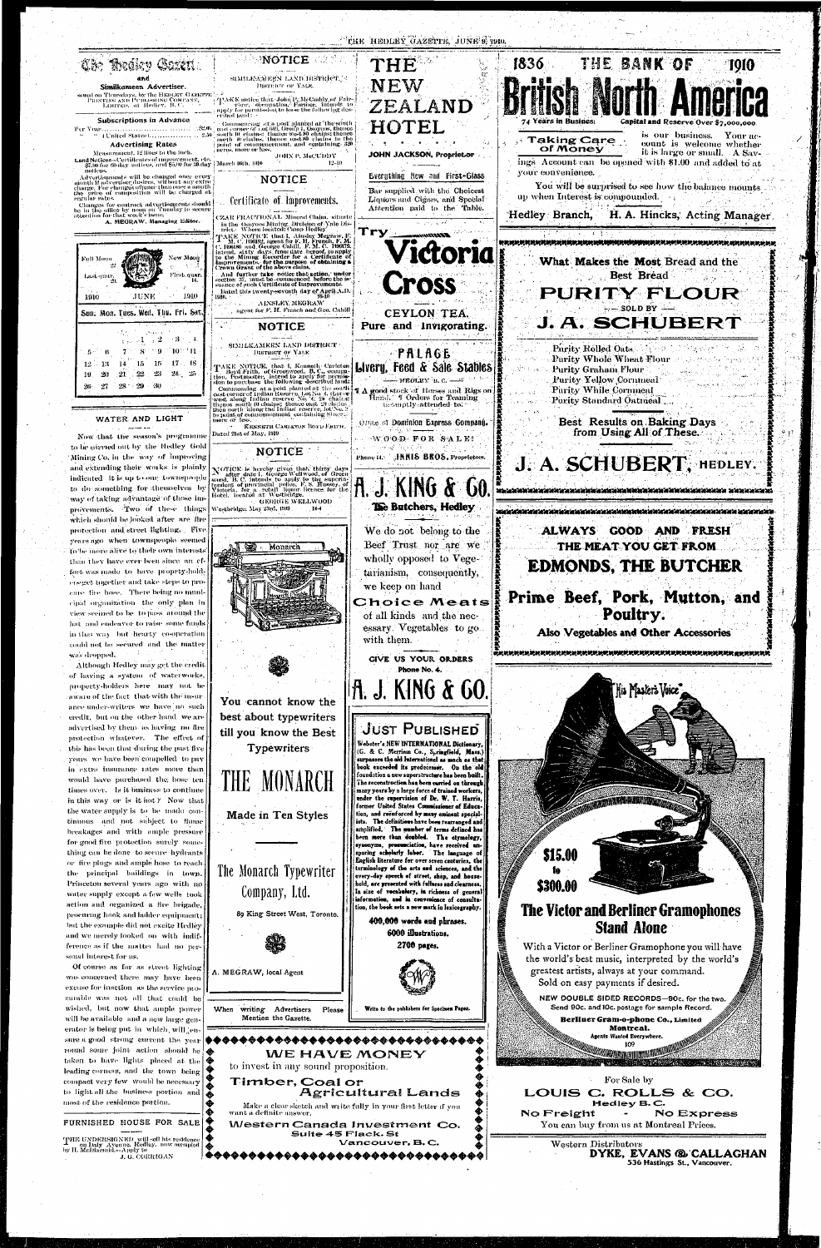#### "THE HEDLEY GAZETTE, JUNE 9, 1910. NOTICE WARE THE BANK OF 1836 THE 1010 **Bissiev Coxett** E 34 SIMILISAMEEN LAND DISTRICT. 9 and NEW DISTRICT OF YALE. Similkanteen Advertiser. ed on Thursdays, by the HEDLEY GAZETTE<br>PRINTING AND PUBLISHING COMPANY,<br>LIMITED, at Hedley, B.C. TAKE motice than John P. McCaddy of Fairs, view, occupation. Farmer, intends to exply for permission to lease the following description (and ZEALAND Subscriptions in Advance Commensing at a post-planted at the south cast corner of Lot 669, Group 1, Osoyoos, thence<br>south 10 chains: thence west 80 chains thence<br>juorth 10 chains: thence west 80 chains thence<br>juorth 10 cannoncement, and containin 4 Years in Busines. **Capital and Reserve Over So** TEL HO " (United States).................... 2.50 is our business. Your ac-**Taking Care** count is welcome whether **Advertising Rates** of Money it is large or small. A Sav-Measurement, 12 lines to the inch. JOHN JACKSON, Propriet.or Land Notices—Certificates of miprovement, etc.<br>\$7.00 for 60-day uotices, and \$5.00 for 30-day | March 16th, 1910<br>notices. JOHN P. MeCUDDY ings Account can be opened with \$1.00 and added to at  $12 - 10$ your convenience. Advertisements will be changed once every<br>month if advertiser desires, without any extra<br>charge. For changes oftener than once a month<br>the price of composition will be charged at Everything New and First-Glass **NOTICE** You will be surprised to see how the balance mounts Bar supplied with the Choicest up when Interest is compounded. Liquors and Cigars, and Special regular rates. Certificate of Improvements. Changes for contract advertisements should<br>be in the office by noon on Tuesday to secure<br>attention for that week's issue. Attention paid to the Table. Hedley Branch, H. A. Hincks, Acting Manager (ZAR FRACTIONAL Mineral Claim, situate A. MEGRAW, Managing Editor. In the Osayoos Mining, Division of Yale District.<br>The Osayoos Mining, Division of Yale District. Try Trick. Where iocated camp ricing<br> $T_A \times C$ , Sixter Merit I, Airsley Megraw, F.<br>C. Biolis, agent for F. H. Fronch, F. M.<br>C. Biolis, and George Cahill, F. M. C. Bioltz,<br>intend, sixty days, from the heroel, to apply<br>language o **Riccourt** Victoria New Moon Full Moon What Makes the Most Bread and the And further take notice that action, under<br>ection 37, must be commenced before the is-<br>mance of such Certificate of Improvements. Best Bread First. quar. Last quart ross Dated this twenty-seventh day of April A.D.<br>1910. PURITY FLOUR -1910 1910 AINSLEY MEGRAW  $-$  SOLD BY  $$ agent for F. H. French and Geo. Cahill Sun: Mon. Tues. Wed. Thu. Fri. Sat CEYLON TEA. J. A. SCHUBERT Pure and Invigorating. **NOTICE**  $\mathcal{A} \rightarrow 2^+$  $-3 - 1$  $\pm$   $\pm$   $\pm$ SIMILKAMEEN LAND DISTRICT Purity Rolled Oats  $[10111]$ **SC**  $\mathbf{9}$ PALAGE DISTRICT OF YALE **Purity Whole Wheat Flour**  $16^{\circ}$  $12 - 13$  $15$  $17 - 18$ TAKE NOTICE, that I, Kenneth Carleton<br>I. Boyd Frith, of Greenwood, B.C., occupa-<br>tion, Postmaster, intend to apply for permis-<br>sion to purchase the following described land: Liveru, Feed & Sale Stables **Purity Graham Flour**  $24 - 25$  $23\,$ -20 21  $22\,$ **Purity Yellow Cornmeal**  $-$  HEDLEY R. C.  $-$ 26 27 28 29 30 commenting at a post-post plate in the contract of the solid function can be considered as contract of the solid week along Indian reserve. Lot No. 4, there there were along Indian reserve. Io, 1, 2, 2, chains: thence cou **4 A good stock of Horses and Rigs on** Hand,' 4 Orders for Teaming **Purity While Cornmeal** Purity Standard Oatmeal. promptly attended to. to noint of commencement containing \$1 act WATER AND LIGHT **Best Results on Baking Days** more or less, Orate of Dominion Express Company. KENNETH CARLETON BOYD FRITH from Using All of These. Dated 21st of May, 1910 Now that the season's programme  $\cdot$ W $[0]0$ D $\cdot$  FOR  $\cdot$ SALE! to be carried out by the Hedley Gold **NOTICE** Phone 14.2 HNIS BROS. Proprietors. Mining Co. in the way of improving J. A. SCHUBERT, HEDLEY. N'OTICE is hereby given that, thirty days<br>A' after date I. George Wellwood, of Green<br>wood, B. C. intends to apply to the superintendent of provincial police, F. S. Hussey, of<br>Victoria, for a retail liquor licence for the<br>H and extending their works is plainly indicated it is up to our townspaople A. J. KING & to do something for themselves by way of taking advantage of those im-GEORGE WELLWOOD The Butchers, Hedley provements. Two of these things Westbridge, May 23rd, 1909 which should be looked after are fire protection and street lighting. Five We do not belong to the ALWAYS GOOD AND FRESH years ago when townspeople seemed Beef Trust nor are we THE MEAT YOU GET FROM Monarci To be more alive to their own interests wholly opposed to Vegethan they have ever been since an ef-**EDMONDS, THE BUTCHER** fort was made to have proprty-holdtarianism, consequently, erseget together and take steps to prowe keep on hand care fire hose. There being no muni-Prime Beef, Pork, Mutton, and Choice Meats cipal organization the only plan in Poultry. view seemed to be to pass around the of all kinds and the nechat and endeavor to raise some funds essary. Vegetables to go. Also Vegetables and Other Accessories in that way but hearty co-operation. with them. could not be secured and the matter